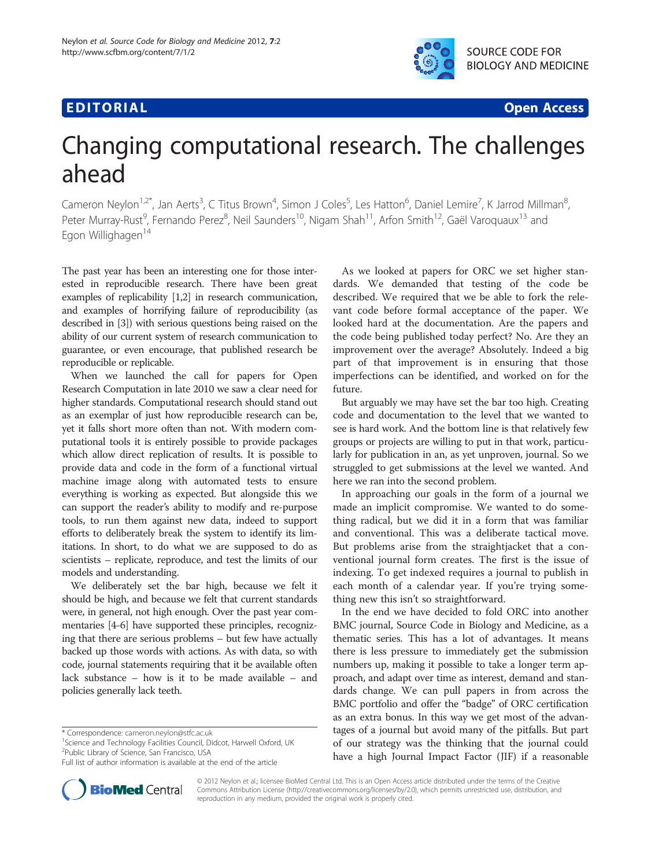# **EDITORIAL** CONTROL CONTROL CONTROL CONTROL CONTROL CONTROL CONTROL CONTROL CONTROL CONTROL CONTROL CONTROL CONTROL CONTROL CONTROL CONTROL CONTROL CONTROL CONTROL CONTROL CONTROL CONTROL CONTROL CONTROL CONTROL CONTROL CO



# Changing computational research. The challenges ahead

Cameron Neylon<sup>1,2\*</sup>, Jan Aerts<sup>3</sup>, C Titus Brown<sup>4</sup>, Simon J Coles<sup>5</sup>, Les Hatton<sup>6</sup>, Daniel Lemire<sup>7</sup>, K Jarrod Millman<sup>8</sup> , Peter Murray-Rust<sup>9</sup>, Fernando Perez<sup>8</sup>, Neil Saunders<sup>10</sup>, Nigam Shah<sup>11</sup>, Arfon Smith<sup>12</sup>, Gaël Varoquaux<sup>13</sup> and Egon Willighagen<sup>14</sup>

The past year has been an interesting one for those interested in reproducible research. There have been great examples of replicability [\[1,2\]](#page-1-0) in research communication, and examples of horrifying failure of reproducibility (as described in [\[3](#page-1-0)]) with serious questions being raised on the ability of our current system of research communication to guarantee, or even encourage, that published research be reproducible or replicable.

When we launched the call for papers for Open Research Computation in late 2010 we saw a clear need for higher standards. Computational research should stand out as an exemplar of just how reproducible research can be, yet it falls short more often than not. With modern computational tools it is entirely possible to provide packages which allow direct replication of results. It is possible to provide data and code in the form of a functional virtual machine image along with automated tests to ensure everything is working as expected. But alongside this we can support the reader's ability to modify and re-purpose tools, to run them against new data, indeed to support efforts to deliberately break the system to identify its limitations. In short, to do what we are supposed to do as scientists – replicate, reproduce, and test the limits of our models and understanding.

We deliberately set the bar high, because we felt it should be high, and because we felt that current standards were, in general, not high enough. Over the past year commentaries [[4-6\]](#page-1-0) have supported these principles, recognizing that there are serious problems – but few have actually backed up those words with actions. As with data, so with code, journal statements requiring that it be available often lack substance – how is it to be made available – and policies generally lack teeth.

<sup>1</sup>Science and Technology Facilities Council, Didcot, Harwell Oxford, UK 2 Public Library of Science, San Francisco, USA



But arguably we may have set the bar too high. Creating code and documentation to the level that we wanted to see is hard work. And the bottom line is that relatively few groups or projects are willing to put in that work, particularly for publication in an, as yet unproven, journal. So we struggled to get submissions at the level we wanted. And here we ran into the second problem.

In approaching our goals in the form of a journal we made an implicit compromise. We wanted to do something radical, but we did it in a form that was familiar and conventional. This was a deliberate tactical move. But problems arise from the straightjacket that a conventional journal form creates. The first is the issue of indexing. To get indexed requires a journal to publish in each month of a calendar year. If you're trying something new this isn't so straightforward.

In the end we have decided to fold ORC into another BMC journal, Source Code in Biology and Medicine, as a thematic series. This has a lot of advantages. It means there is less pressure to immediately get the submission numbers up, making it possible to take a longer term approach, and adapt over time as interest, demand and standards change. We can pull papers in from across the BMC portfolio and offer the "badge" of ORC certification as an extra bonus. In this way we get most of the advantages of a journal but avoid many of the pitfalls. But part of our strategy was the thinking that the journal could have a high Journal Impact Factor (JIF) if a reasonable



© 2012 Neylon et al.; licensee BioMed Central Ltd. This is an Open Access article distributed under the terms of the Creative Commons Attribution License (http://creativecommons.org/licenses/by/2.0), which permits unrestricted use, distribution, and reproduction in any medium, provided the original work is properly cited.

<sup>\*</sup> Correspondence: [cameron.neylon@stfc.ac.uk](mailto:cameron.neylon@stfc.ac.uk) <sup>1</sup>

Full list of author information is available at the end of the article